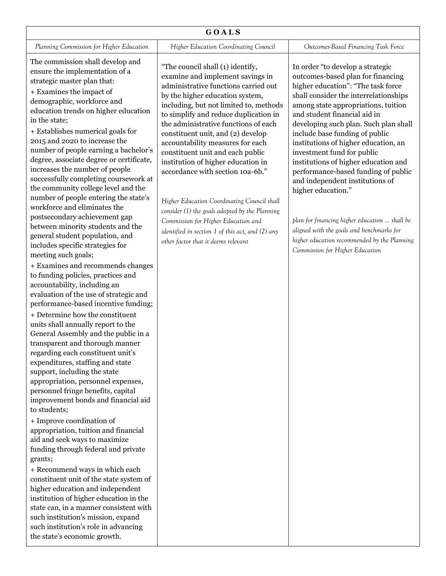| GOALS                                    |                                              |                                     |  |
|------------------------------------------|----------------------------------------------|-------------------------------------|--|
| Planning Commission for Higher Education | <b>Higher Education Coordinating Council</b> | Outcomes-Based Financing Task Force |  |
|                                          |                                              |                                     |  |

The commission shall develop and ensure the implementation of a strategic master plan that:

+ Examines the impact of demographic, workforce and education trends on higher education in the state;

+ Establishes numerical goals for 2015 and 2020 to increase the number of people earning a bachelor's degree, associate degree or certificate, increases the number of people successfully completing coursework at the community college level and the number of people entering the state's workforce and eliminates the postsecondary achievement gap between minority students and the general student population, and includes specific strategies for meeting such goals;

+ Examines and recommends changes to funding policies, practices and accountability, including an evaluation of the use of strategic and performance-based incentive funding;

+ Determine how the constituent units shall annually report to the General Assembly and the public in a transparent and thorough manner regarding each constituent unit's expenditures, staffing and state support, including the state appropriation, personnel expenses, personnel fringe benefits, capital improvement bonds and financial aid to students;

+ Improve coordination of appropriation, tuition and financial aid and seek ways to maximize funding through federal and private grants;

+ Recommend ways in which each constituent unit of the state system of higher education and independent institution of higher education in the state can, in a manner consistent with such institution's mission, expand such institution's role in advancing the state's economic growth.

"The council shall (1) identify, examine and implement savings in administrative functions carried out by the higher education system, including, but not limited to, methods to simplify and reduce duplication in the administrative functions of each constituent unit, and (2) develop accountability measures for each constituent unit and each public institution of higher education in accordance with section 10a-6b."

*Higher Education Coordinating Council shall consider (1) the goals adopted by the Planning Commission for Higher Education and identified in section 1 of this act, and (2) any other factor that it deems relevant*

In order "to develop a strategic outcomes-based plan for financing higher education": "The task force shall consider the interrelationships among state appropriations, tuition and student financial aid in developing such plan. Such plan shall include base funding of public institutions of higher education, an investment fund for public institutions of higher education and performance-based funding of public and independent institutions of higher education."

*plan for financing higher education … shall be aligned with the goals and benchmarks for higher education recommended by the Planning Commission for Higher Education*